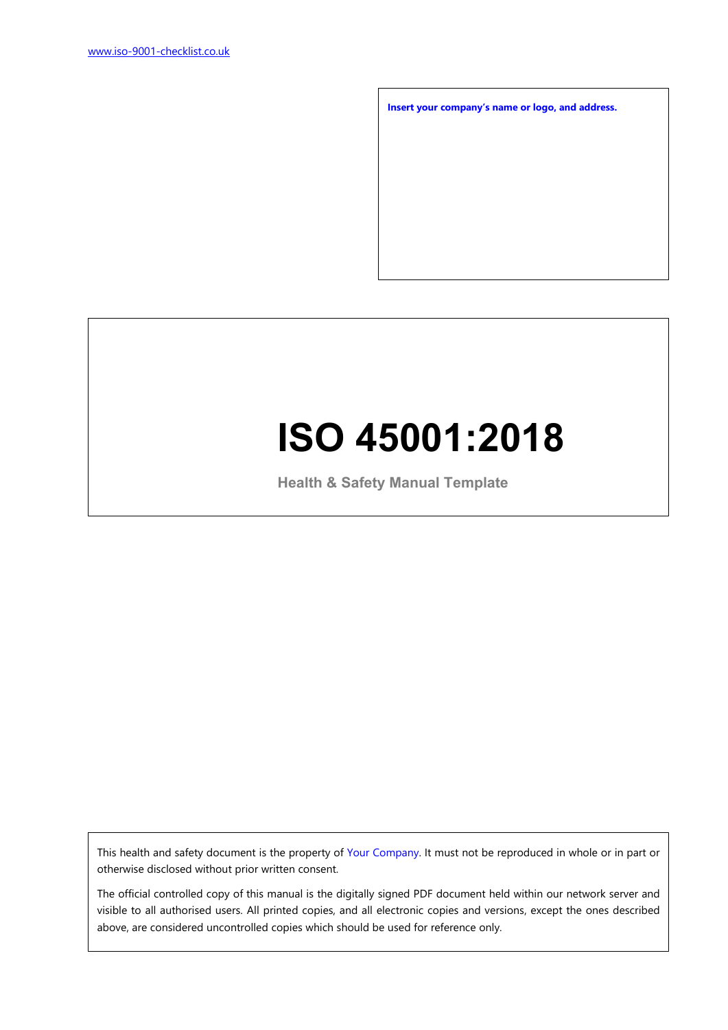**Insert your company's name or logo, and address.**

# **ISO 45001:2018**

**Health & Safety Manual Template**

This health and safety document is the property of Your Company. It must not be reproduced in whole or in part or otherwise disclosed without prior written consent.

The official controlled copy of this manual is the digitally signed PDF document held within our network server and visible to all authorised users. All printed copies, and all electronic copies and versions, except the ones described above, are considered uncontrolled copies which should be used for reference only.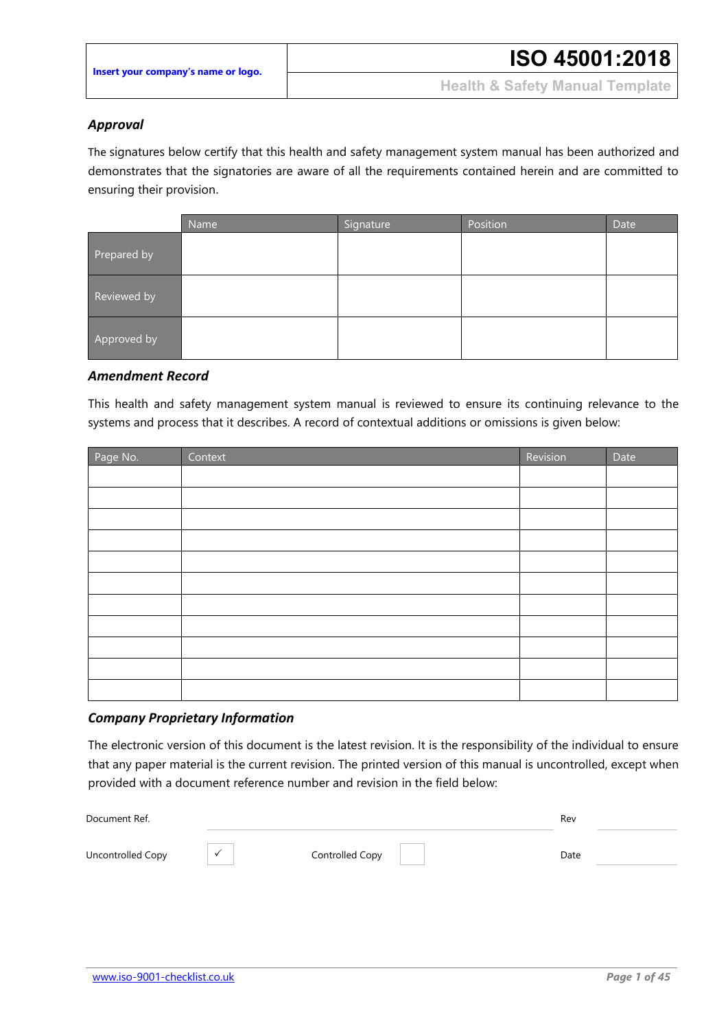#### *Approval*

The signatures below certify that this health and safety management system manual has been authorized and demonstrates that the signatories are aware of all the requirements contained herein and are committed to ensuring their provision.

|             | Name | Signature | Position | Date |
|-------------|------|-----------|----------|------|
| Prepared by |      |           |          |      |
| Reviewed by |      |           |          |      |
| Approved by |      |           |          |      |

#### *Amendment Record*

This health and safety management system manual is reviewed to ensure its continuing relevance to the systems and process that it describes. A record of contextual additions or omissions is given below:

| Page No. | Context | Revision | Date |
|----------|---------|----------|------|
|          |         |          |      |
|          |         |          |      |
|          |         |          |      |
|          |         |          |      |
|          |         |          |      |
|          |         |          |      |
|          |         |          |      |
|          |         |          |      |
|          |         |          |      |
|          |         |          |      |
|          |         |          |      |

#### *Company Proprietary Information*

The electronic version of this document is the latest revision. It is the responsibility of the individual to ensure that any paper material is the current revision. The printed version of this manual is uncontrolled, except when provided with a document reference number and revision in the field below:

| Document Ref.     |                 | Rev  |  |
|-------------------|-----------------|------|--|
| Uncontrolled Copy | Controlled Copy | Date |  |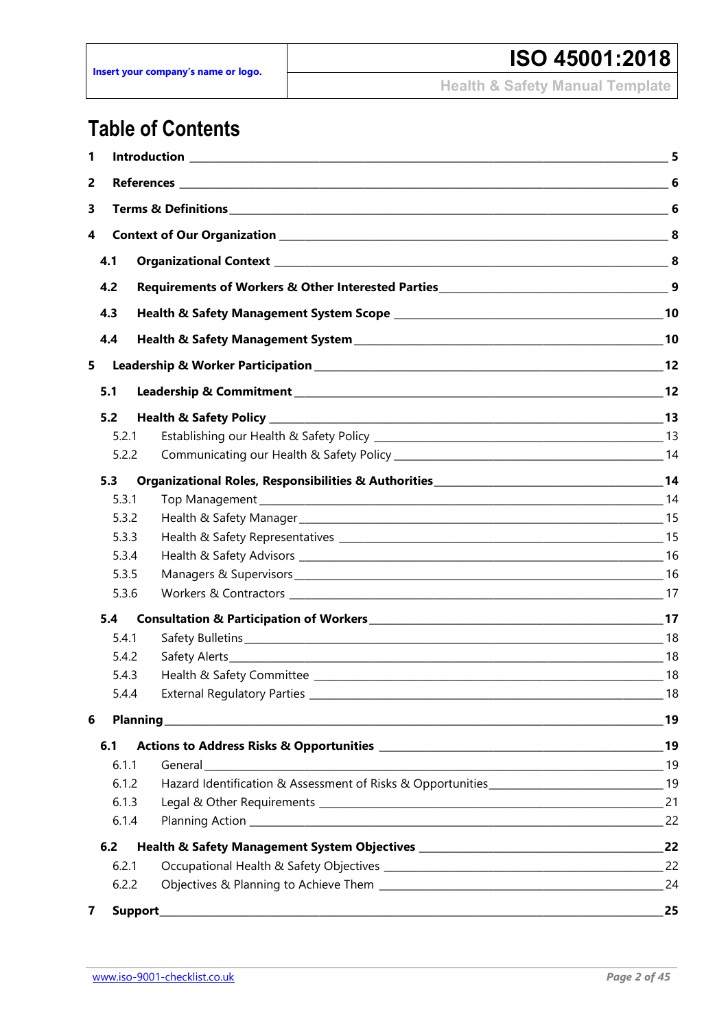## **Table of Contents**

| 1 |       | <b>Introduction 5</b>                                                                                                    |       |  |
|---|-------|--------------------------------------------------------------------------------------------------------------------------|-------|--|
| 2 |       |                                                                                                                          |       |  |
| 3 |       |                                                                                                                          |       |  |
| 4 |       |                                                                                                                          |       |  |
|   | 4.1   |                                                                                                                          |       |  |
|   | 4.2   | Requirements of Workers & Other Interested Parties <b>Material Contract Control of Article Contract Contract Control</b> |       |  |
|   | 4.3   |                                                                                                                          |       |  |
|   | 4.4   |                                                                                                                          |       |  |
| 5 |       |                                                                                                                          | 12    |  |
|   |       |                                                                                                                          |       |  |
|   | 5.1   |                                                                                                                          |       |  |
|   | 5.2   |                                                                                                                          |       |  |
|   | 5.2.1 |                                                                                                                          |       |  |
|   | 5.2.2 |                                                                                                                          |       |  |
|   | 5.3   |                                                                                                                          |       |  |
|   | 5.3.1 |                                                                                                                          |       |  |
|   | 5.3.2 |                                                                                                                          |       |  |
|   | 5.3.3 |                                                                                                                          |       |  |
|   | 5.3.4 |                                                                                                                          |       |  |
|   | 5.3.5 |                                                                                                                          |       |  |
|   | 5.3.6 |                                                                                                                          |       |  |
|   | 5.4   |                                                                                                                          |       |  |
|   | 5.4.1 |                                                                                                                          |       |  |
|   | 5.4.2 |                                                                                                                          |       |  |
|   | 5.4.3 |                                                                                                                          |       |  |
|   | 5.4.4 | External Regulatory Parties __________                                                                                   | $-18$ |  |
| 6 |       |                                                                                                                          |       |  |
|   | 6.1   |                                                                                                                          |       |  |
|   | 6.1.1 |                                                                                                                          |       |  |
|   | 6.1.2 | Hazard Identification & Assessment of Risks & Opportunities__________________________________19                          |       |  |
|   | 6.1.3 |                                                                                                                          |       |  |
|   | 6.1.4 |                                                                                                                          |       |  |
|   | 6.2   |                                                                                                                          |       |  |
|   | 6.2.1 |                                                                                                                          |       |  |
|   | 6.2.2 |                                                                                                                          |       |  |
| 7 |       |                                                                                                                          | 25    |  |
|   |       |                                                                                                                          |       |  |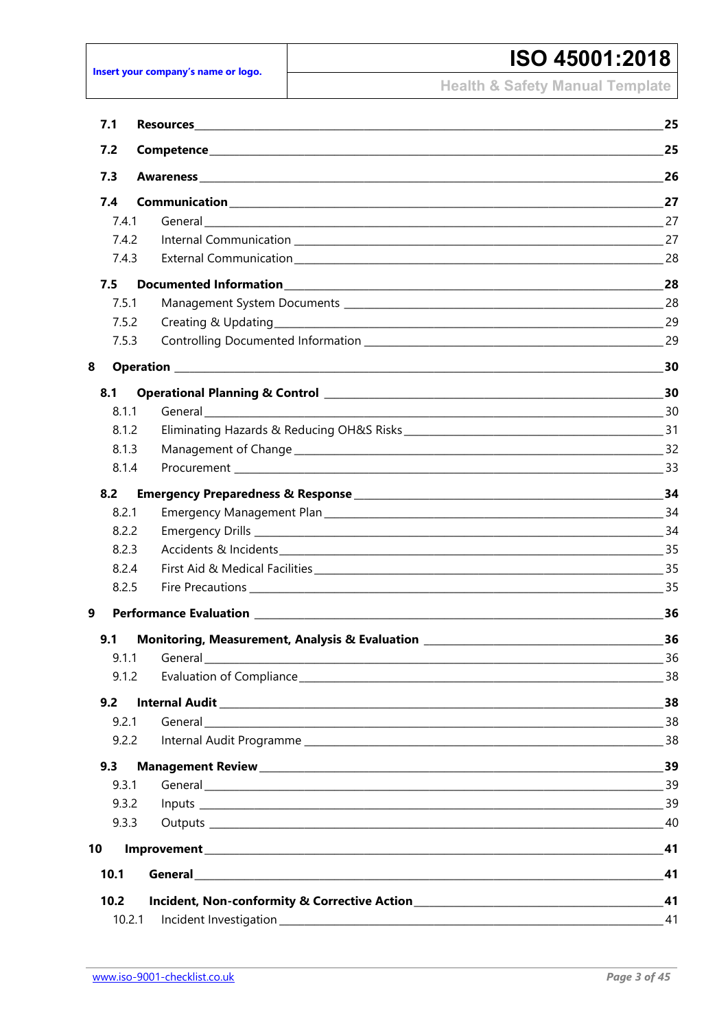Insert your company's name or logo.

#### ISO 45001:2018

**Health & Safety Manual Template** 

| 7.1  |        |                                                                                                                | 25  |
|------|--------|----------------------------------------------------------------------------------------------------------------|-----|
| 7.2  |        |                                                                                                                | 25  |
| 7.3  |        |                                                                                                                | 26  |
| 7.4  |        |                                                                                                                | 27  |
|      | 7.4.1  |                                                                                                                | 27  |
|      | 7.4.2  |                                                                                                                |     |
|      | 7.4.3  |                                                                                                                | 28  |
| 7.5  |        |                                                                                                                | 28  |
|      | 7.5.1  |                                                                                                                | 28  |
|      | 7.5.2  |                                                                                                                |     |
|      | 7.5.3  |                                                                                                                |     |
| 8    |        |                                                                                                                | 30  |
| 8.1  |        |                                                                                                                | 30  |
|      | 8.1.1  |                                                                                                                |     |
|      | 8.1.2  |                                                                                                                |     |
|      | 8.1.3  |                                                                                                                |     |
|      | 8.1.4  |                                                                                                                |     |
| 8.2  |        |                                                                                                                |     |
|      | 8.2.1  |                                                                                                                |     |
|      | 8.2.2  |                                                                                                                |     |
|      | 8.2.3  |                                                                                                                |     |
|      | 8.2.4  |                                                                                                                |     |
|      | 8.2.5  |                                                                                                                |     |
| 9    |        |                                                                                                                | 36  |
| 9.1  |        | Monitoring, Measurement, Analysis & Evaluation Letter Controller and Controller Controller and Management of M | 36  |
|      |        | 9.1.1 General                                                                                                  | 36  |
|      | 9.1.2  |                                                                                                                | _38 |
| 9.2  |        |                                                                                                                |     |
|      | 9.2.1  |                                                                                                                |     |
|      | 9.2.2  |                                                                                                                |     |
| 9.3  |        |                                                                                                                | 39  |
|      | 9.3.1  |                                                                                                                |     |
|      | 9.3.2  |                                                                                                                |     |
|      | 9.3.3  |                                                                                                                |     |
| 10   |        |                                                                                                                |     |
| 10.1 |        |                                                                                                                | 41  |
| 10.2 |        |                                                                                                                |     |
|      | 10.2.1 |                                                                                                                | 41  |
|      |        |                                                                                                                |     |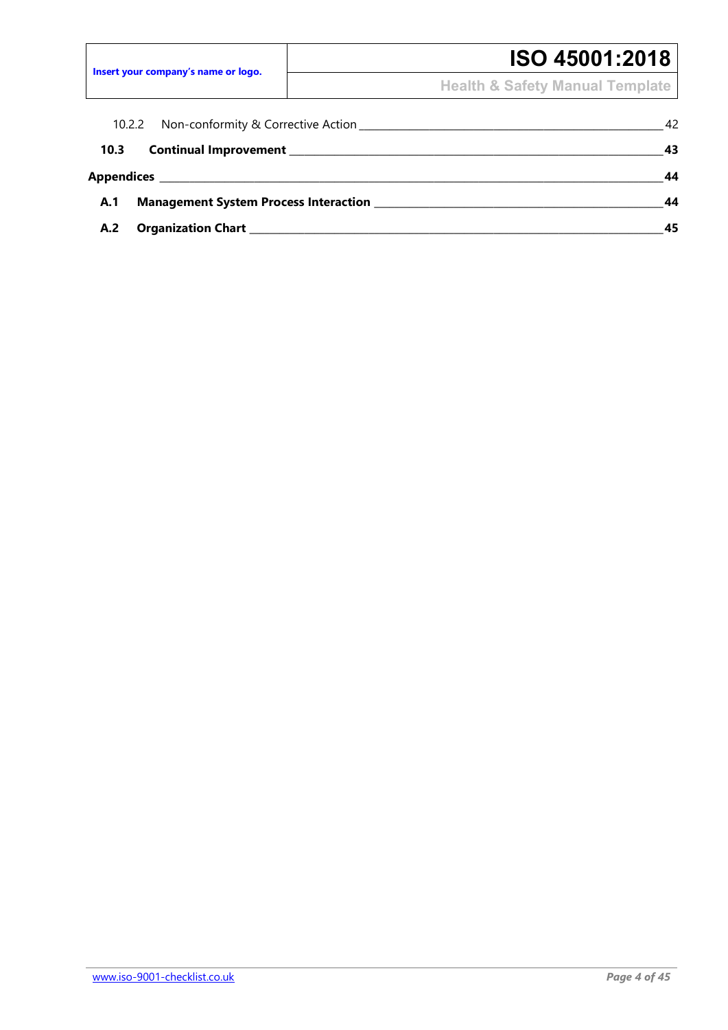## **ISO 45001:2018**

**Health & Safety Manual Template**

| 10.2.2 Non-conformity & Corrective Action |  | 42 |
|-------------------------------------------|--|----|
| 10.3                                      |  | 43 |
|                                           |  | 44 |
| A.1                                       |  | 44 |
| A.2                                       |  | 45 |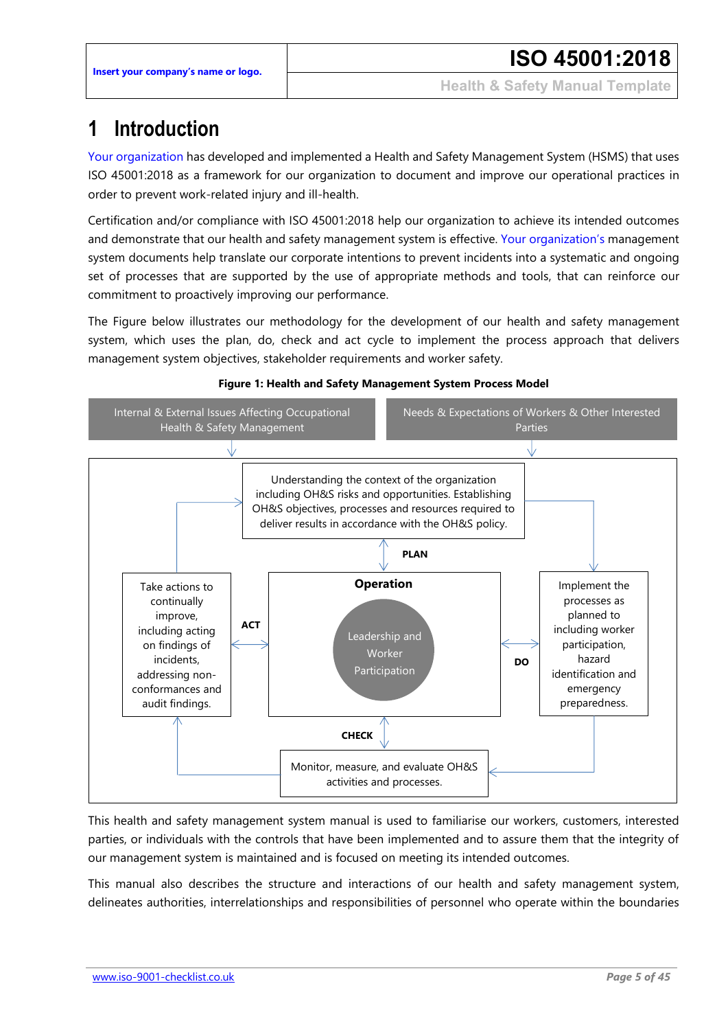### <span id="page-5-0"></span>**1 Introduction**

Your organization has developed and implemented a Health and Safety Management System (HSMS) that uses ISO 45001:2018 as a framework for our organization to document and improve our operational practices in order to prevent work-related injury and ill-health.

Certification and/or compliance with ISO 45001:2018 help our organization to achieve its intended outcomes and demonstrate that our health and safety management system is effective. Your organization's management system documents help translate our corporate intentions to prevent incidents into a systematic and ongoing set of processes that are supported by the use of appropriate methods and tools, that can reinforce our commitment to proactively improving our performance.

The Figure below illustrates our methodology for the development of our health and safety management system, which uses the plan, do, check and act cycle to implement the process approach that delivers management system objectives, stakeholder requirements and worker safety.





This health and safety management system manual is used to familiarise our workers, customers, interested parties, or individuals with the controls that have been implemented and to assure them that the integrity of our management system is maintained and is focused on meeting its intended outcomes.

This manual also describes the structure and interactions of our health and safety management system, delineates authorities, interrelationships and responsibilities of personnel who operate within the boundaries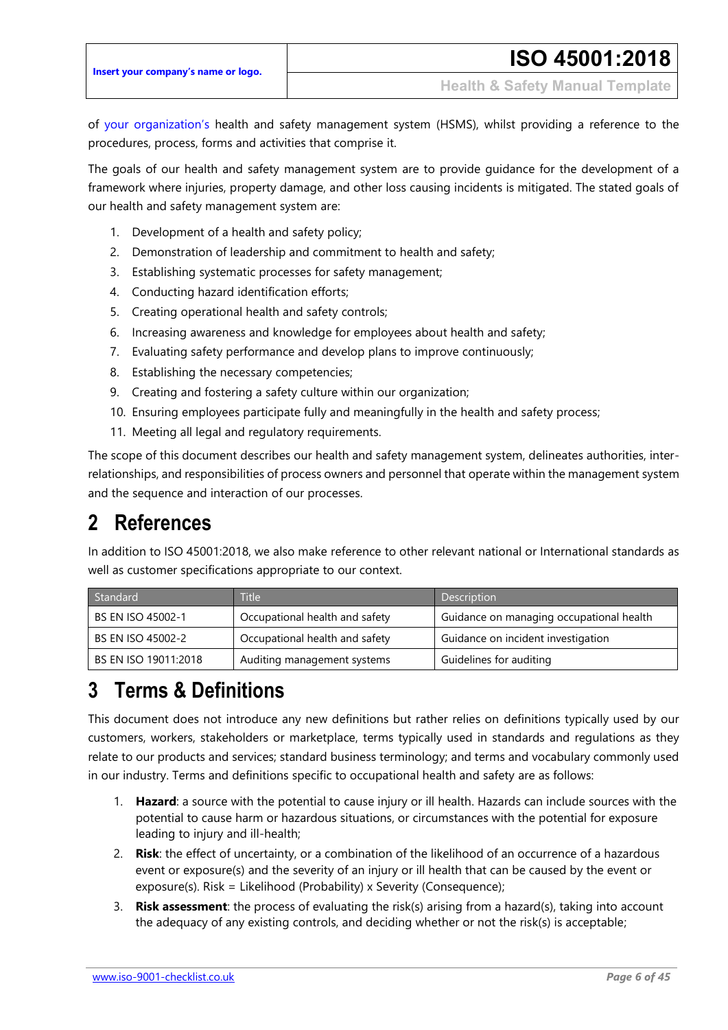of your organization's health and safety management system (HSMS), whilst providing a reference to the procedures, process, forms and activities that comprise it.

The goals of our health and safety management system are to provide guidance for the development of a framework where injuries, property damage, and other loss causing incidents is mitigated. The stated goals of our health and safety management system are:

- 1. Development of a health and safety policy;
- 2. Demonstration of leadership and commitment to health and safety;
- 3. Establishing systematic processes for safety management;
- 4. Conducting hazard identification efforts;
- 5. Creating operational health and safety controls;
- 6. Increasing awareness and knowledge for employees about health and safety;
- 7. Evaluating safety performance and develop plans to improve continuously;
- 8. Establishing the necessary competencies;
- 9. Creating and fostering a safety culture within our organization;
- 10. Ensuring employees participate fully and meaningfully in the health and safety process;
- 11. Meeting all legal and regulatory requirements.

The scope of this document describes our health and safety management system, delineates authorities, interrelationships, and responsibilities of process owners and personnel that operate within the management system and the sequence and interaction of our processes.

#### <span id="page-6-0"></span>**2 References**

In addition to ISO 45001:2018, we also make reference to other relevant national or International standards as well as customer specifications appropriate to our context.

| Standard                 | <b>Title</b>                   | Description                              |
|--------------------------|--------------------------------|------------------------------------------|
| <b>BS EN ISO 45002-1</b> | Occupational health and safety | Guidance on managing occupational health |
| <b>BS EN ISO 45002-2</b> | Occupational health and safety | Guidance on incident investigation       |
| BS EN ISO 19011:2018     | Auditing management systems    | Guidelines for auditing                  |

## <span id="page-6-1"></span>**3 Terms & Definitions**

This document does not introduce any new definitions but rather relies on definitions typically used by our customers, workers, stakeholders or marketplace, terms typically used in standards and regulations as they relate to our products and services; standard business terminology; and terms and vocabulary commonly used in our industry. Terms and definitions specific to occupational health and safety are as follows:

- 1. **Hazard**: a source with the potential to cause injury or ill health. Hazards can include sources with the potential to cause harm or hazardous situations, or circumstances with the potential for exposure leading to injury and ill-health;
- 2. **Risk**: the effect of uncertainty, or a combination of the likelihood of an occurrence of a hazardous event or exposure(s) and the severity of an injury or ill health that can be caused by the event or exposure(s). Risk = Likelihood (Probability) x Severity (Consequence);
- 3. **Risk assessment**: the process of evaluating the risk(s) arising from a hazard(s), taking into account the adequacy of any existing controls, and deciding whether or not the risk(s) is acceptable;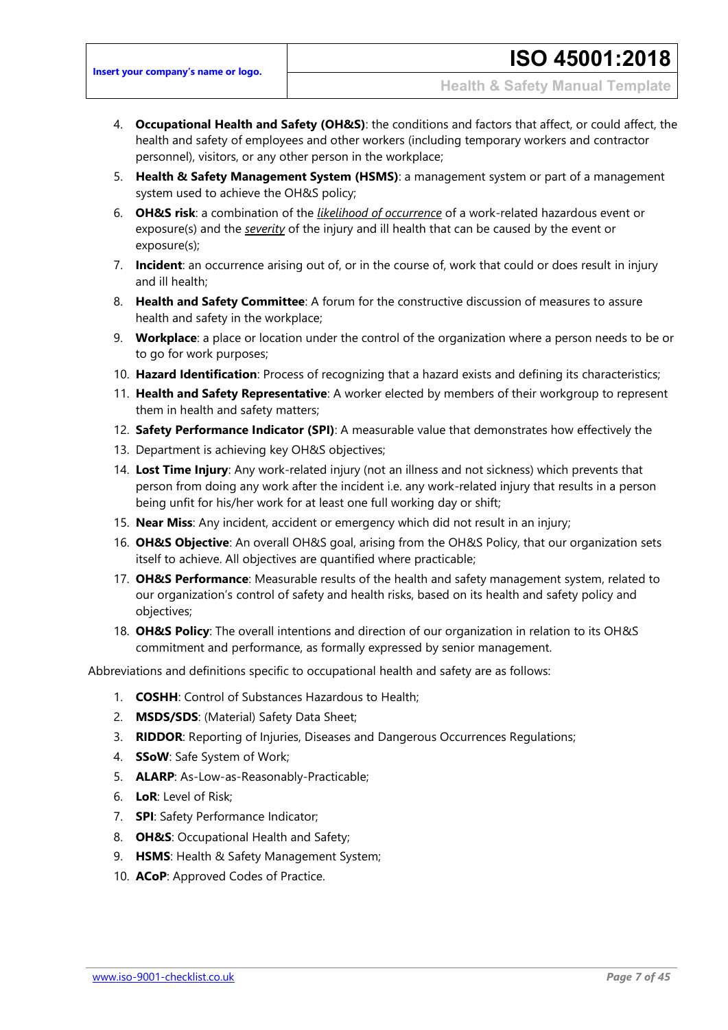- 4. **Occupational Health and Safety (OH&S)**: the conditions and factors that affect, or could affect, the health and safety of employees and other workers (including temporary workers and contractor personnel), visitors, or any other person in the workplace;
- 5. **Health & Safety Management System (HSMS)**: a management system or part of a management system used to achieve the OH&S policy;
- 6. **OH&S risk**: a combination of the *likelihood of occurrence* of a work-related hazardous event or exposure(s) and the *severity* of the injury and ill health that can be caused by the event or exposure(s);
- 7. **Incident**: an occurrence arising out of, or in the course of, work that could or does result in injury and ill health;
- 8. **Health and Safety Committee**: A forum for the constructive discussion of measures to assure health and safety in the workplace;
- 9. **Workplace**: a place or location under the control of the organization where a person needs to be or to go for work purposes;
- 10. **Hazard Identification**: Process of recognizing that a hazard exists and defining its characteristics;
- 11. **Health and Safety Representative**: A worker elected by members of their workgroup to represent them in health and safety matters;
- 12. **Safety Performance Indicator (SPI)**: A measurable value that demonstrates how effectively the
- 13. Department is achieving key OH&S objectives;
- 14. **Lost Time Injury**: Any work-related injury (not an illness and not sickness) which prevents that person from doing any work after the incident i.e. any work-related injury that results in a person being unfit for his/her work for at least one full working day or shift;
- 15. **Near Miss**: Any incident, accident or emergency which did not result in an injury;
- 16. **OH&S Objective**: An overall OH&S goal, arising from the OH&S Policy, that our organization sets itself to achieve. All objectives are quantified where practicable;
- 17. **OH&S Performance**: Measurable results of the health and safety management system, related to our organization's control of safety and health risks, based on its health and safety policy and objectives;
- 18. **OH&S Policy**: The overall intentions and direction of our organization in relation to its OH&S commitment and performance, as formally expressed by senior management.

Abbreviations and definitions specific to occupational health and safety are as follows:

- 1. **COSHH**: Control of Substances Hazardous to Health;
- 2. **MSDS/SDS**: (Material) Safety Data Sheet;
- 3. **RIDDOR**: Reporting of Injuries, Diseases and Dangerous Occurrences Regulations;
- 4. **SSoW**: Safe System of Work;
- 5. **ALARP**: As-Low-as-Reasonably-Practicable;
- 6. **LoR**: Level of Risk;
- 7. **SPI**: Safety Performance Indicator;
- 8. **OH&S**: Occupational Health and Safety;
- 9. **HSMS**: Health & Safety Management System;
- 10. **ACoP**: Approved Codes of Practice.